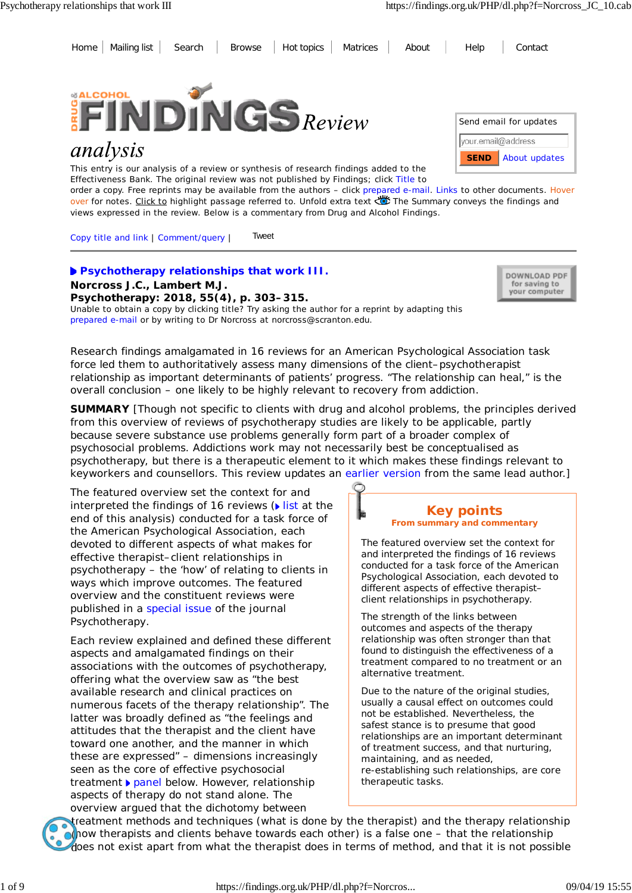Home Mailing list Search Browse Hot topics Matrices About Help Contact



# analysis

This entry is our analysis of a review or synthesis of research findings added to the Effectiveness Bank. The original review was not published by Findings; click Title to



order a copy. Free reprints may be available from the authors – click prepared e-mail. Links to other documents. Hover over for notes. Click to highlight passage referred to. Unfold extra text Wife Summary conveys the findings and views expressed in the review. Below is a commentary from Drug and Alcohol Findings.

Copy title and link | Comment/query | Tweet

## **Psychotherapy relationships that work III. Norcross J.C., Lambert M.J.**

**Psychotherapy: 2018, 55(4), p. 303–315.** Unable to obtain a copy by clicking title? Try asking the author for a reprint by adapting this prepared e-mail or by writing to Dr Norcross at norcross@scranton.edu.



*Research findings amalgamated in 16 reviews for an American Psychological Association task force led them to authoritatively assess many dimensions of the client–psychotherapist relationship as important determinants of patients' progress. "The relationship can heal," is the overall conclusion – one likely to be highly relevant to recovery from addiction.*

**SUMMARY** [Though not specific to clients with drug and alcohol problems, the principles derived from this overview of reviews of psychotherapy studies are likely to be applicable, partly because severe substance use problems generally form part of a broader complex of psychosocial problems. Addictions work may not necessarily best be conceptualised as psychotherapy, but there is a therapeutic element to it which makes these findings relevant to keyworkers and counsellors. This review updates an earlier version from the same lead author.]

The featured overview set the context for and interpreted the findings of 16 reviews  $(\triangleright$  list at the end of this analysis) conducted for a task force of the American Psychological Association, each devoted to different aspects of what makes for effective therapist–client relationships in psychotherapy – the 'how' of relating to clients in ways which improve outcomes. The featured overview and the constituent reviews were published in a special issue of the journal *Psychotherapy*.

Each review explained and defined these different aspects and amalgamated findings on their associations with the outcomes of psychotherapy, offering what the overview saw as "the best available research and clinical practices on numerous facets of the therapy relationship". The latter was broadly defined as "the feelings and attitudes that the therapist and the client have toward one another, and the manner in which these are expressed" – dimensions increasingly seen as the core of effective psychosocial treatment **panel below.** However, relationship aspects of therapy do not stand alone. The overview argued that the dichotomy between



The featured overview set the context for and interpreted the findings of 16 reviews conducted for a task force of the American Psychological Association, each devoted to different aspects of effective therapist– client relationships in psychotherapy.

The strength of the links between outcomes and aspects of the therapy relationship was often stronger than that found to distinguish the effectiveness of a treatment compared to no treatment or an alternative treatment.

Due to the nature of the original studies, usually a causal effect on outcomes could not be established. Nevertheless, the safest stance is to presume that good relationships are an important determinant of treatment success, and that nurturing, maintaining, and as needed, re-establishing such relationships, are core therapeutic tasks.

treatment methods and techniques (*what* is done by the therapist) and the therapy relationship (*how* therapists and clients behave towards each other) is a false one – that the relationship does not exist apart from what the therapist does in terms of method, and that it is not possible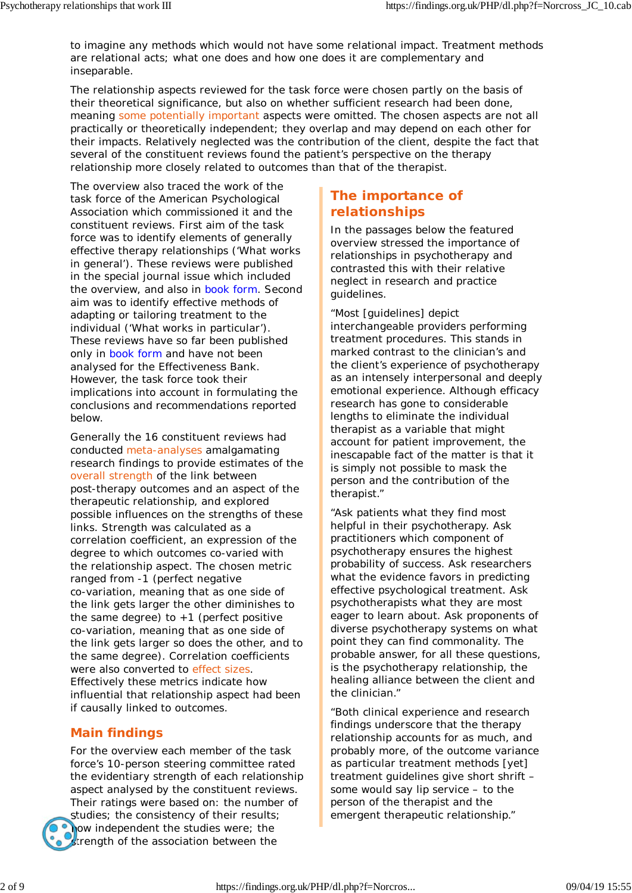to imagine any methods which would not have some relational impact. Treatment methods *are* relational acts; what one does and how one does it are complementary and inseparable.

The relationship aspects reviewed for the task force were chosen partly on the basis of their theoretical significance, but also on whether sufficient research had been done, meaning some potentially important aspects were omitted. The chosen aspects are not all practically or theoretically independent; they overlap and may depend on each other for their impacts. Relatively neglected was the contribution of the client, despite the fact that several of the constituent reviews found the patient's perspective on the therapy relationship more closely related to outcomes than that of the therapist.

The overview also traced the work of the task force of the American Psychological Association which commissioned it and the constituent reviews. First aim of the task force was to identify elements of generally effective therapy relationships ('What works in general'). These reviews were published in the special journal issue which included the overview, and also in book form. Second aim was to identify effective methods of adapting or tailoring treatment to the individual ('What works in particular'). These reviews have so far been published only in book form and have not been analysed for the Effectiveness Bank. However, the task force took their implications into account in formulating the conclusions and recommendations reported below.

Generally the 16 constituent reviews had conducted meta-analyses amalgamating research findings to provide estimates of the overall strength of the link between post-therapy outcomes and an aspect of the therapeutic relationship, and explored possible influences on the strengths of these links. Strength was calculated as a correlation coefficient, an expression of the degree to which outcomes co-varied with the relationship aspect. The chosen metric ranged from -1 (perfect negative co-variation, meaning that as one side of the link gets larger the other diminishes to the same degree) to  $+1$  (perfect positive co-variation, meaning that as one side of the link gets larger so does the other, and to the same degree). Correlation coefficients were also converted to effect sizes. Effectively these metrics indicate how influential that relationship aspect had been if causally linked to outcomes.

## **Main findings**

For the overview each member of the task force's 10-person steering committee rated the evidentiary strength of each relationship aspect analysed by the constituent reviews. Their ratings were based on: the number of studies; the consistency of their results; how independent the studies were; the Strength of the association between the

## **The importance of relationships**

In the passages below the featured overview stressed the importance of relationships in psychotherapy and contrasted this with their relative neglect in research and practice guidelines.

"Most [guidelines] depict interchangeable providers performing treatment procedures. This stands in marked contrast to the clinician's and the client's experience of psychotherapy as an intensely interpersonal and deeply emotional experience. Although efficacy research has gone to considerable lengths to eliminate the individual therapist as a variable that might account for patient improvement, the inescapable fact of the matter is that it is simply not possible to mask the person and the contribution of the therapist."

"Ask patients what they find most helpful in their psychotherapy. Ask practitioners which component of psychotherapy ensures the highest probability of success. Ask researchers what the evidence favors in predicting effective psychological treatment. Ask psychotherapists what they are most eager to learn about. Ask proponents of diverse psychotherapy systems on what point they can find commonality. The probable answer, for all these questions, is the psychotherapy relationship, the healing alliance between the client and the clinician."

"Both clinical experience and research findings underscore that the therapy relationship accounts for as much, and probably more, of the outcome variance as particular treatment methods [yet] treatment guidelines give short shrift – some would say lip service – to the person of the therapist and the emergent therapeutic relationship."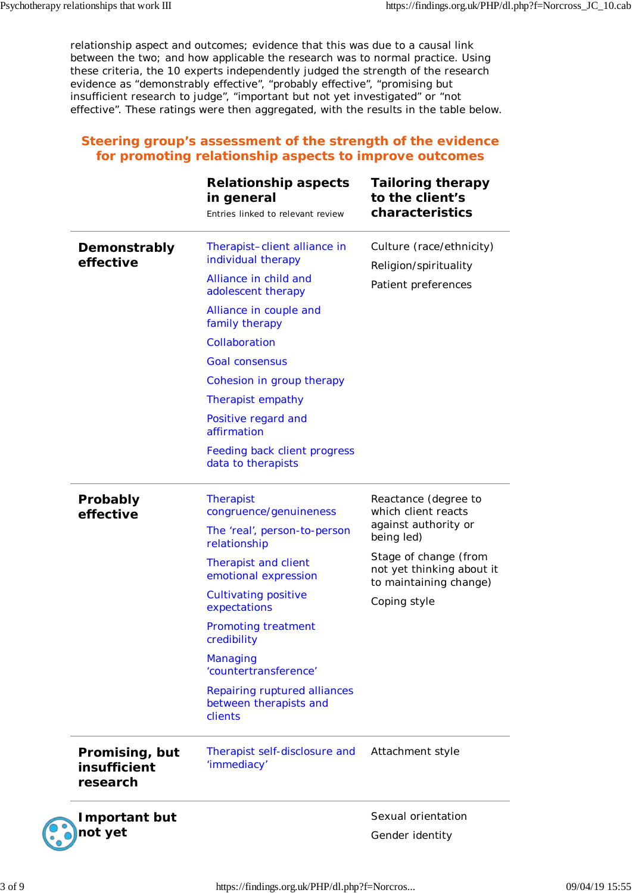relationship aspect and outcomes; evidence that this was due to a causal link between the two; and how applicable the research was to normal practice. Using these criteria, the 10 experts independently judged the strength of the research evidence as "demonstrably effective", "probably effective", "promising but insufficient research to judge", "important but not yet investigated" or "not effective". These ratings were then aggregated, with the results in the table below.

## **Steering group's assessment of the strength of the evidence for promoting relationship aspects to improve outcomes**

|                                            | <b>Relationship aspects</b><br>in general<br>Entries linked to relevant review                                                                                                                                                                                                                                                            | <b>Tailoring therapy</b><br>to the client's<br>characteristics                                                                                                                    |
|--------------------------------------------|-------------------------------------------------------------------------------------------------------------------------------------------------------------------------------------------------------------------------------------------------------------------------------------------------------------------------------------------|-----------------------------------------------------------------------------------------------------------------------------------------------------------------------------------|
| Demonstrably<br>effective                  | Therapist-client alliance in<br>individual therapy<br>Alliance in child and<br>adolescent therapy<br>Alliance in couple and<br>family therapy<br>Collaboration<br><b>Goal consensus</b><br>Cohesion in group therapy<br>Therapist empathy<br>Positive regard and<br>affirmation<br>Feeding back client progress<br>data to therapists     | Culture (race/ethnicity)<br>Religion/spirituality<br>Patient preferences                                                                                                          |
| Probably<br>effective                      | <b>Therapist</b><br>congruence/genuineness<br>The 'real', person-to-person<br>relationship<br>Therapist and client<br>emotional expression<br><b>Cultivating positive</b><br>expectations<br>Promoting treatment<br>credibility<br>Managing<br>'countertransference'<br>Repairing ruptured alliances<br>between therapists and<br>clients | Reactance (degree to<br>which client reacts<br>against authority or<br>being led)<br>Stage of change (from<br>not yet thinking about it<br>to maintaining change)<br>Coping style |
| Promising, but<br>insufficient<br>research | Therapist self-disclosure and<br>'immediacy'                                                                                                                                                                                                                                                                                              | Attachment style                                                                                                                                                                  |
| <b>Important but</b><br>not yet            |                                                                                                                                                                                                                                                                                                                                           | Sexual orientation<br>Gender identity                                                                                                                                             |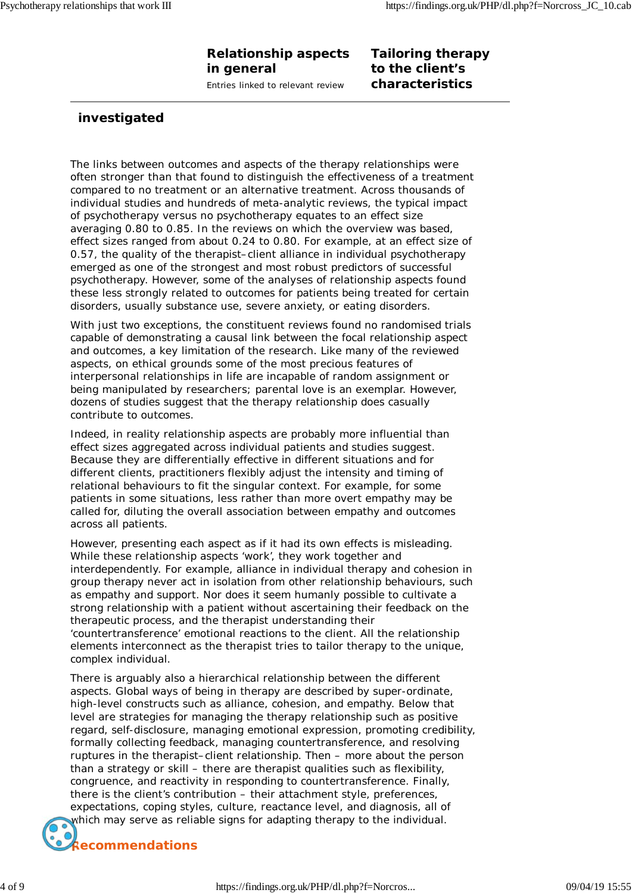# **Relationship aspects in general**

Entries linked to relevant review

## **Tailoring therapy to the client's characteristics**

## **investigated**

The links between outcomes and aspects of the therapy relationships were often stronger than that found to distinguish the effectiveness of a treatment compared to no treatment or an alternative treatment. Across thousands of individual studies and hundreds of meta-analytic reviews, the typical impact of psychotherapy versus no psychotherapy equates to an effect size averaging 0.80 to 0.85. In the reviews on which the overview was based, effect sizes ranged from about 0.24 to 0.80. For example, at an effect size of 0.57, the quality of the therapist–client alliance in individual psychotherapy emerged as one of the strongest and most robust predictors of successful psychotherapy. However, some of the analyses of relationship aspects found these less strongly related to outcomes for patients being treated for certain disorders, usually substance use, severe anxiety, or eating disorders.

With just two exceptions, the constituent reviews found no randomised trials capable of demonstrating a causal link between the focal relationship aspect and outcomes, a key limitation of the research. Like many of the reviewed aspects, on ethical grounds some of the most precious features of interpersonal relationships in life are incapable of random assignment or being manipulated by researchers; parental love is an exemplar. However, dozens of studies suggest that the therapy relationship does casually contribute to outcomes.

Indeed, in reality relationship aspects are probably more influential than effect sizes aggregated across individual patients and studies suggest. Because they are differentially effective in different situations and for different clients, practitioners flexibly adjust the intensity and timing of relational behaviours to fit the singular context. For example, for some patients in some situations, less rather than more overt empathy may be called for, diluting the overall association between empathy and outcomes across all patients.

However, presenting each aspect as if it had its own effects is misleading. While these relationship aspects 'work', they work together and interdependently. For example, alliance in individual therapy and cohesion in group therapy never act in isolation from other relationship behaviours, such as empathy and support. Nor does it seem humanly possible to cultivate a strong relationship with a patient without ascertaining their feedback on the therapeutic process, and the therapist understanding their 'countertransference' emotional reactions to the client. All the relationship elements interconnect as the therapist tries to tailor therapy to the unique, complex individual.

There is arguably also a hierarchical relationship between the different aspects. Global ways of being in therapy are described by super-ordinate, high-level constructs such as alliance, cohesion, and empathy. Below that level are strategies for managing the therapy relationship such as positive regard, self-disclosure, managing emotional expression, promoting credibility, formally collecting feedback, managing countertransference, and resolving ruptures in the therapist–client relationship. Then – more about the person than a strategy or skill – there are therapist qualities such as flexibility, congruence, and reactivity in responding to countertransference. Finally, there is the client's contribution – their attachment style, preferences, expectations, coping styles, culture, reactance level, and diagnosis, all of which may serve as reliable signs for adapting therapy to the individual.

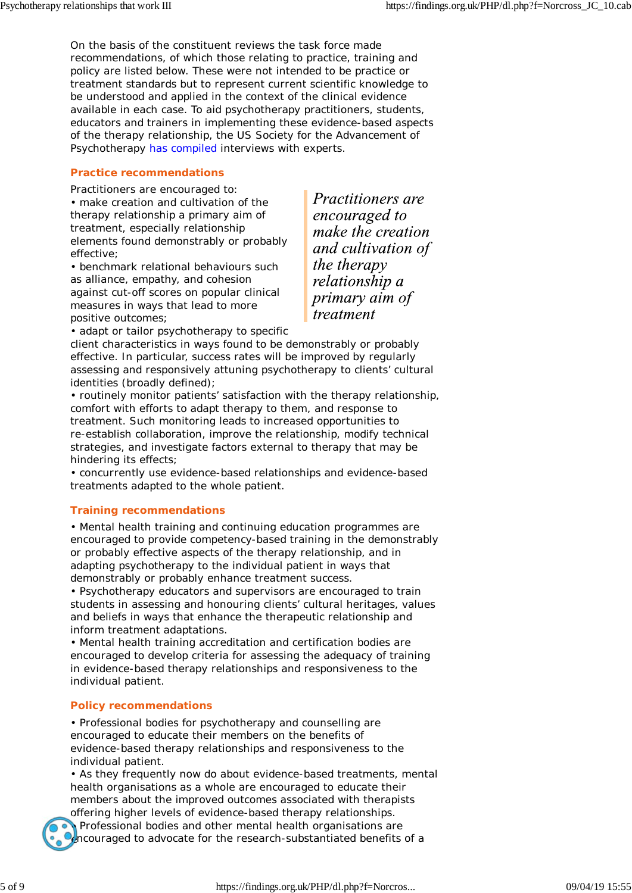On the basis of the constituent reviews the task force made recommendations, of which those relating to practice, training and policy are listed below. These were not intended to be practice or treatment standards but to represent current scientific knowledge to be understood and applied in the context of the clinical evidence available in each case. To aid psychotherapy practitioners, students, educators and trainers in implementing these evidence-based aspects of the therapy relationship, the US Society for the Advancement of Psychotherapy has compiled interviews with experts.

#### **Practice recommendations**

Practitioners are encouraged to:

• make creation and cultivation of the therapy relationship a primary aim of treatment, especially relationship elements found demonstrably or probably effective;

• benchmark relational behaviours such as alliance, empathy, and cohesion against cut-off scores on popular clinical measures in ways that lead to more positive outcomes;

**Practitioners** are encouraged to make the creation and cultivation of the therapy relationship a primary aim of treatment

• adapt or tailor psychotherapy to specific

client characteristics in ways found to be demonstrably or probably effective. In particular, success rates will be improved by regularly assessing and responsively attuning psychotherapy to clients' cultural identities (broadly defined);

• routinely monitor patients' satisfaction with the therapy relationship, comfort with efforts to adapt therapy to them, and response to treatment. Such monitoring leads to increased opportunities to re-establish collaboration, improve the relationship, modify technical strategies, and investigate factors external to therapy that may be hindering its effects;

• concurrently use evidence-based relationships and evidence-based treatments adapted to the whole patient.

#### **Training recommendations**

• Mental health training and continuing education programmes are encouraged to provide competency-based training in the demonstrably or probably effective aspects of the therapy relationship, and in adapting psychotherapy to the individual patient in ways that demonstrably or probably enhance treatment success.

• Psychotherapy educators and supervisors are encouraged to train students in assessing and honouring clients' cultural heritages, values and beliefs in ways that enhance the therapeutic relationship and inform treatment adaptations.

• Mental health training accreditation and certification bodies are encouraged to develop criteria for assessing the adequacy of training in evidence-based therapy relationships and responsiveness to the individual patient.

#### **Policy recommendations**

• Professional bodies for psychotherapy and counselling are encouraged to educate their members on the benefits of evidence-based therapy relationships and responsiveness to the individual patient.

• As they frequently now do about evidence-based treatments, mental health organisations as a whole are encouraged to educate their members about the improved outcomes associated with therapists

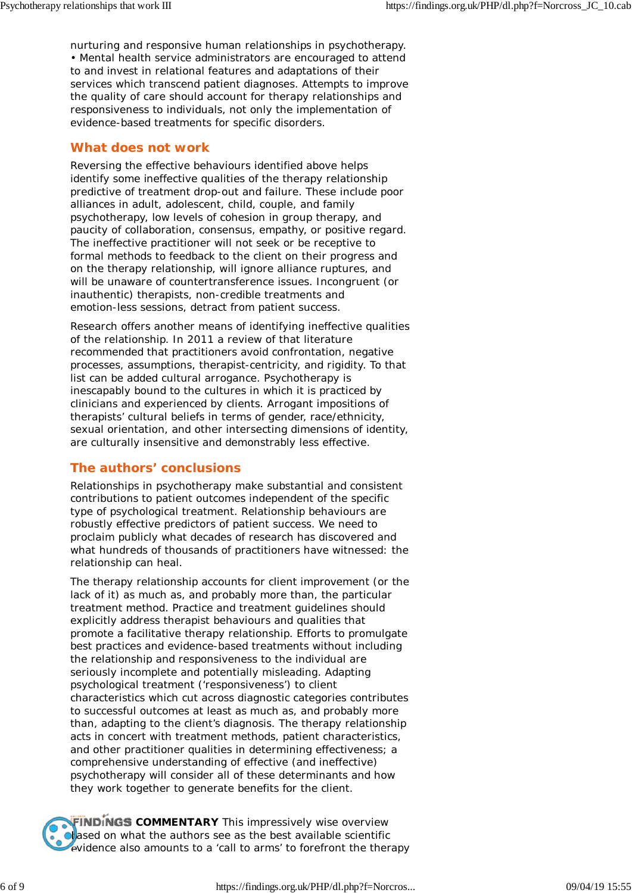nurturing and responsive human relationships in psychotherapy. • Mental health service administrators are encouraged to attend to and invest in relational features and adaptations of their services which transcend patient diagnoses. Attempts to improve the quality of care should account for therapy relationships and responsiveness to individuals, not only the implementation of evidence-based treatments for specific disorders.

### **What does not work**

Reversing the effective behaviours identified above helps identify some *in*effective qualities of the therapy relationship predictive of treatment drop-out and failure. These include poor alliances in adult, adolescent, child, couple, and family psychotherapy, low levels of cohesion in group therapy, and paucity of collaboration, consensus, empathy, or positive regard. The ineffective practitioner will not seek or be receptive to formal methods to feedback to the client on their progress and on the therapy relationship, will ignore alliance ruptures, and will be unaware of countertransference issues. Incongruent (or inauthentic) therapists, non-credible treatments and emotion-less sessions, detract from patient success.

Research offers another means of identifying ineffective qualities of the relationship. In 2011 a review of that literature recommended that practitioners avoid confrontation, negative processes, assumptions, therapist-centricity, and rigidity. To that list can be added cultural arrogance. Psychotherapy is inescapably bound to the cultures in which it is practiced by clinicians and experienced by clients. Arrogant impositions of therapists' cultural beliefs in terms of gender, race/ethnicity, sexual orientation, and other intersecting dimensions of identity, are culturally insensitive and demonstrably less effective.

## **The authors' conclusions**

Relationships in psychotherapy make substantial and consistent contributions to patient outcomes independent of the specific type of psychological treatment. Relationship behaviours are robustly effective predictors of patient success. We need to proclaim publicly what decades of research has discovered and what hundreds of thousands of practitioners have witnessed: the relationship can heal.

The therapy relationship accounts for client improvement (or the lack of it) as much as, and probably more than, the particular treatment method. Practice and treatment guidelines should explicitly address therapist behaviours and qualities that promote a facilitative therapy relationship. Efforts to promulgate best practices and evidence-based treatments without including the relationship and responsiveness to the individual are seriously incomplete and potentially misleading. Adapting psychological treatment ('responsiveness') to client characteristics which cut across diagnostic categories contributes to successful outcomes at least as much as, and probably more than, adapting to the client's diagnosis. The therapy relationship acts in concert with treatment methods, patient characteristics, and other practitioner qualities in determining effectiveness; a comprehensive understanding of effective (and ineffective) psychotherapy will consider all of these determinants and how they work together to generate benefits for the client.

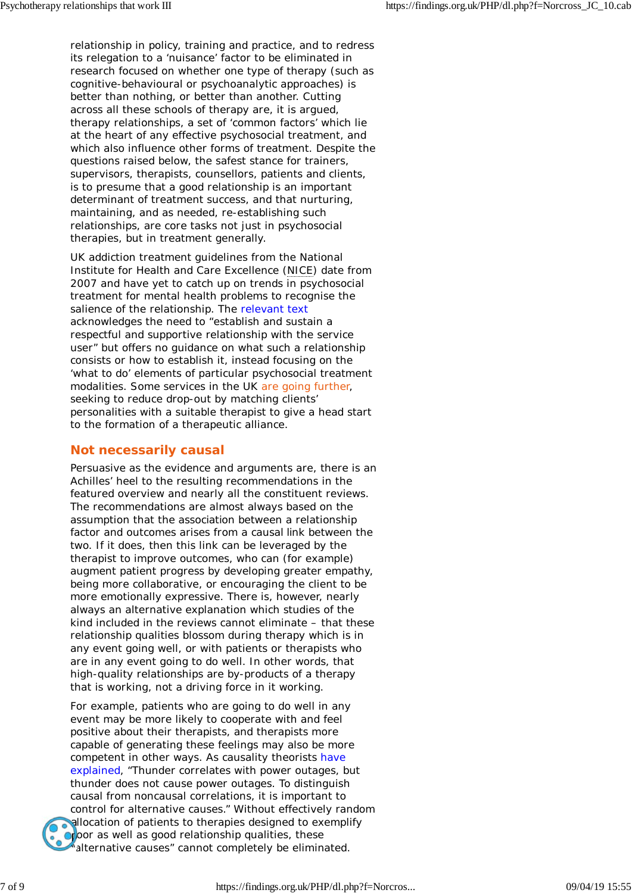relationship in policy, training and practice, and to redress its relegation to a 'nuisance' factor to be eliminated in research focused on whether one type of therapy (such as cognitive-behavioural or psychoanalytic approaches) is better than nothing, or better than another. Cutting across all these schools of therapy are, it is argued, therapy relationships, a set of 'common factors' which lie at the heart of any effective psychosocial treatment, and which also influence other forms of treatment. Despite the questions raised below, the safest stance for trainers, supervisors, therapists, counsellors, patients and clients, is to presume that a good relationship is an important determinant of treatment success, and that nurturing, maintaining, and as needed, re-establishing such relationships, are core tasks not just in psychosocial therapies, but in treatment generally.

UK addiction treatment guidelines from the National Institute for Health and Care Excellence (NICE) date from 2007 and have yet to catch up on trends in psychosocial treatment for mental health problems to recognise the salience of the relationship. The relevant text acknowledges the need to "establish and sustain a respectful and supportive relationship with the service user" but offers no guidance on what such a relationship consists or how to establish it, instead focusing on the 'what to do' elements of particular psychosocial treatment modalities. Some services in the UK are going further, seeking to reduce drop-out by matching clients' personalities with a suitable therapist to give a head start to the formation of a therapeutic alliance.

## **Not** *necessarily* **causal**

Persuasive as the evidence and arguments are, there is an Achilles' heel to the resulting recommendations in the featured overview and nearly all the constituent reviews. The recommendations are almost always based on the assumption that the *association* between a relationship factor and outcomes arises from a *causal link* between the two. If it does, then this link can be leveraged by the therapist to improve outcomes, who can (for example) augment patient progress by developing greater empathy, being more collaborative, or encouraging the client to be more emotionally expressive. There is, however, nearly always an alternative explanation which studies of the kind included in the reviews cannot eliminate – that these relationship qualities blossom during therapy which is in any event going well, or with patients or therapists who are in any event going to do well. In other words, that high-quality relationships are by-products of a therapy that is working, not a driving force in it working.

For example, patients who are going to do well in any event may be more likely to cooperate with and feel positive about their therapists, and therapists more capable of generating these feelings may also be more competent in other ways. As causality theorists have explained, "Thunder correlates with power outages, but thunder does not cause power outages. To distinguish causal from noncausal correlations, it is important to control for alternative causes." Without effectively random allocation of patients to therapies designed to exemplify oroor as well as good relationship qualities, these alternative causes" cannot completely be eliminated.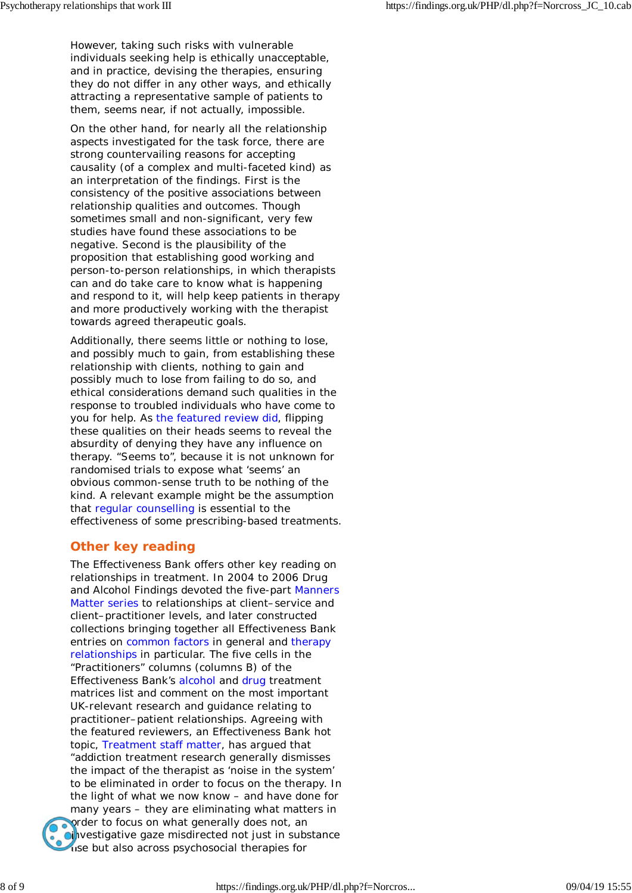However, taking such risks with vulnerable individuals seeking help is ethically unacceptable, and in practice, devising the therapies, ensuring they do not differ in any other ways, and ethically attracting a representative sample of patients to them, seems near, if not actually, impossible.

On the other hand, for nearly all the relationship aspects investigated for the task force, there are strong countervailing reasons for accepting causality (of a complex and multi-faceted kind) as an interpretation of the findings. First is the consistency of the positive associations between relationship qualities and outcomes. Though sometimes small and non-significant, very few studies have found these associations to be negative. Second is the plausibility of the proposition that establishing good working and person-to-person relationships, in which therapists can and do take care to know what is happening and respond to it, will help keep patients in therapy and more productively working with the therapist towards agreed therapeutic goals.

Additionally, there seems little or nothing to lose, and possibly much to gain, from establishing these relationship with clients, nothing to gain and possibly much to lose from failing to do so, and ethical considerations demand such qualities in the response to troubled individuals who have come to you for help. As the featured review did, flipping these qualities on their heads seems to reveal the absurdity of denying they have any influence on therapy. "Seems to", because it is not unknown for randomised trials to expose what 'seems' an obvious common-sense truth to be nothing of the kind. A relevant example might be the assumption that regular counselling is essential to the effectiveness of some prescribing-based treatments.

# **Other key reading**

The Effectiveness Bank offers other key reading on relationships in treatment. In 2004 to 2006 Drug and Alcohol Findings devoted the five-part *Manners Matter* series to relationships at client–service and client–practitioner levels, and later constructed collections bringing together all Effectiveness Bank entries on common factors in general and therapy relationships in particular. The five cells in the "Practitioners" columns (columns B) of the Effectiveness Bank's alcohol and drug treatment matrices list and comment on the most important UK-relevant research and guidance relating to practitioner–patient relationships. Agreeing with the featured reviewers, an Effectiveness Bank hot topic, *Treatment staff matter*, has argued that "addiction treatment research generally dismisses the impact of the therapist as 'noise in the system' to be eliminated in order to focus on the therapy. In the light of what we now know – and have done for many years – they are eliminating what matters in order to focus on what generally does not, an cinvestigative gaze misdirected not just in substance use but also across psychosocial therapies for